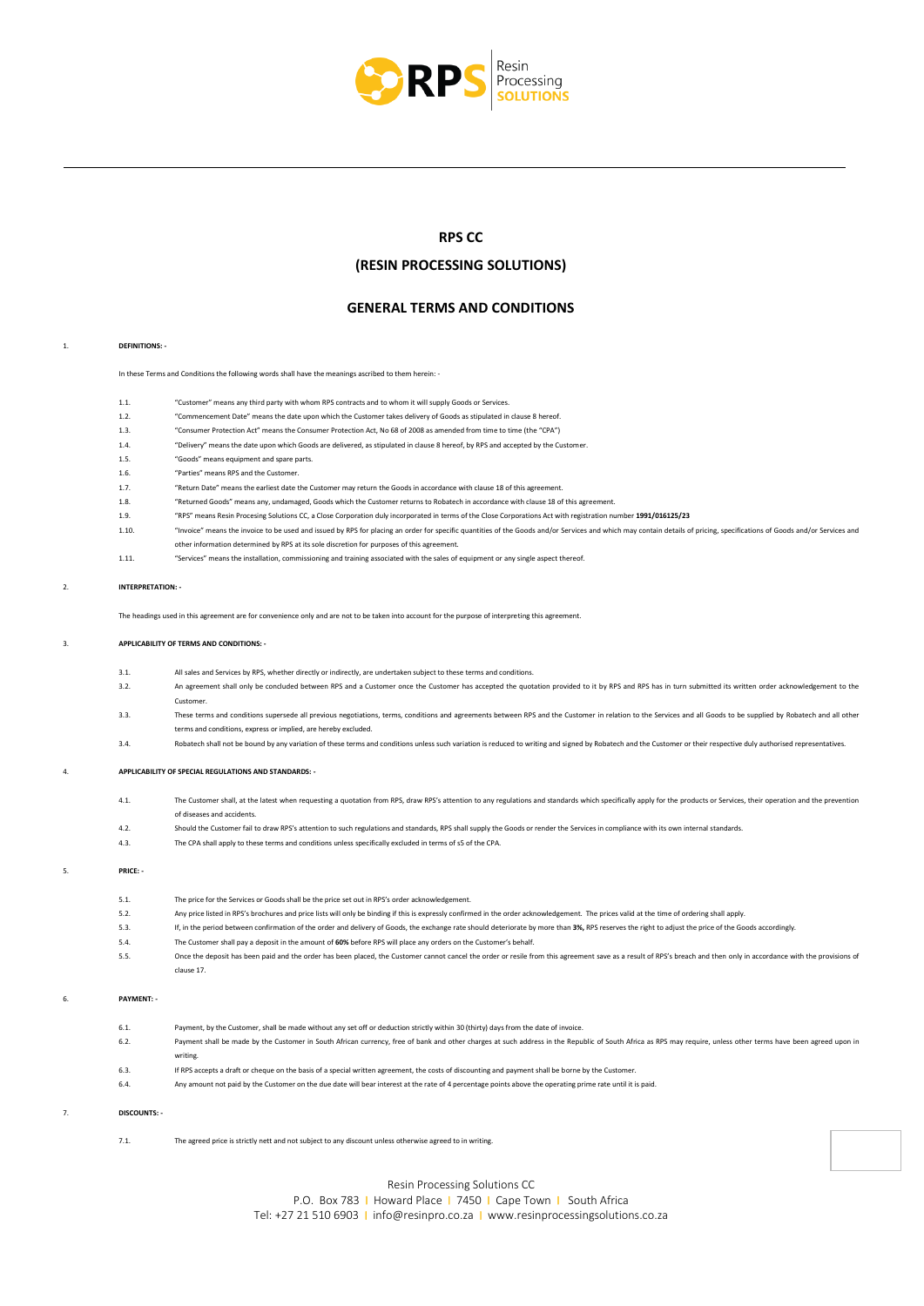

# **RPS CC**

# **(RESIN PROCESSING SOLUTIONS)**

# **GENERAL TERMS AND CONDITIONS**

#### 1. **DEFINITIONS: -**

Ξ

In these Terms and Conditions the following words shall have the meanings ascribed to them herein: -

- 1.1. "Customer" means any third party with whom RPS contracts and to whom it will supply Goods or Services.
- 1.2. "Commencement Date" means the date upon which the Customer takes delivery of Goods as stipulated in clause 8 hereof.
- 1.3. "Consumer Protection Act" means the Consumer Protection Act, No 68 of 2008 as amended from time to time (the "CPA")
- 1.4. "Delivery" means the date upon which Goods are delivered, as stipulated in clause 8 hereof, by RPS and accepted by the Customer.
- 1.5. "Goods" means equipment and spare parts.
- 1.6. "Parties" means RPS and the Custom
- 1.7. "Return Date" means the earliest date the Customer may return the Goods in accordance with clause 18 of this agreement.
- 1.8. "Returned Goods" means any, undamaged, Goods which the Customer returns to Robatech in accordance with clause 18 of this agreement.
- 1.9. "RPS" means Resin Procesing Solutions CC, a Close Corporation duly incorporated in terms of the Close Corporations Act with registration number **1991/016125/23**
- 1.10. "Invoice" means the invoice to be used and issued by RPS for placing an order for specific quantities of the Goods and/or Services and which may contain details of pricing, specifications of Goods and/or Services and other information determined by RPS at its sole discretion for purposes of this agreement.
	-
- 1.11. "Services" means the installation, commissioning and training associated with the sales of equipment or any single aspect thereof.

#### 2. **INTERPRETATION: -**

The headings used in this agreement are for convenience only and are not to be taken into account for the purpose of interpreting this agreement.

#### 3. **APPLICABILITY OF TERMS AND CONDITIONS: -**

- 3.1. All sales and Services by RPS, whether directly or indirectly, are undertaken subject to these terms and conditions.
- 3.2. An agreement shall only be concluded between RPS and a Customer once the Customer has accepted the quotation provided to it by RPS and RPS has in turn submitted its written order acknowledgement to the Customer.
- 3.3. These terms and conditions supersede all previous negotiations, terms, conditions and agreements between RPS and the Customer in relation to the Services and all Goods to be supplied by Robatech and all othe terms and conditions, express or implied, are hereby excluded.
- 3.4. Robatech shall not be bound by any variation of these terms and conditions unless such variation is reduced to writing and signed by Robatech and the Customer or their respective duly authorised representatives.

#### 4. **APPLICABILITY OF SPECIAL REGULATIONS AND STANDARDS: -**

- 4.1. The Customer shall, at the latest when requesting a quotation from RPS, draw RPS's attention to any regulations and standards which specifically apply for the products or Services, their operation and the prevention of diseases and accidents.
- 4.2. Should the Customer fail to draw RPS's attention to such regulations and standards, RPS shall supply the Goods or render the Services in compliance with its own internal standards.
- 4.3. The CPA shall apply to these terms and conditions unless specifically excluded in terms of s5 of the CPA.

# 5. **PRICE: -**

- 5.1. The price for the Services or Goods shall be the price set out in RPS's order acknowledgement. 5.2. Any price listed in RPS's brochures and price lists will only be binding if this is expressly confirmed in the order acknowledgement. The prices valid at the time of ordering shall apply.
- 5.3. If, in the period between confirmation of the order and delivery of Goods, the exchange rate should deteriorate by more than **3%,** RPS reserves the right to adjust the price of the Goods accordingly.
- 5.4. The Customer shall pay a deposit in the amount of **60%** before RPS will place any orders on the Customer's behalf.
- 5.5. Once the deposit has been paid and the order has been placed, the Customer cannot cancel the order or resile from this agreement save as a result of RPS's breach and then only in accordance with the provisions of clause 17.

#### 6. **PAYMENT: -**

6.1. Payment, by the Customer, shall be made without any set off or deduction strictly within 30 (thirty) days from the date of invoice. 6.2. Payment shall be made by the Customer in South African currency, free of bank and other charges at such address in the Republic of South Africa as RPS may require, unless other terms have been agreed upon in writing. 6.3. If RPS accepts a draft or cheque on the basis of a special written agreement, the costs of discounting and payment shall be borne by the Customer. 6.4. Any amount not paid by the Customer on the due date will bear interest at the rate of 4 percentage points above the operating prime rate until it is paid.

#### 7. **DISCOUNTS: -**

7.1. The agreed price is strictly nett and not subject to any discount unless otherwise agreed to in writing.



Resin Processing Solutions CC

P.O. Box 783 | Howard Place | 7450 | Cape Town | South Africa Tel: +27 21 510 6903 I [info@resinpro.co.za](mailto:info@resinpro.co.za) I [www.resinprocessingsolutions.co.za](http://www.resinprocessingsolutions.co.za/)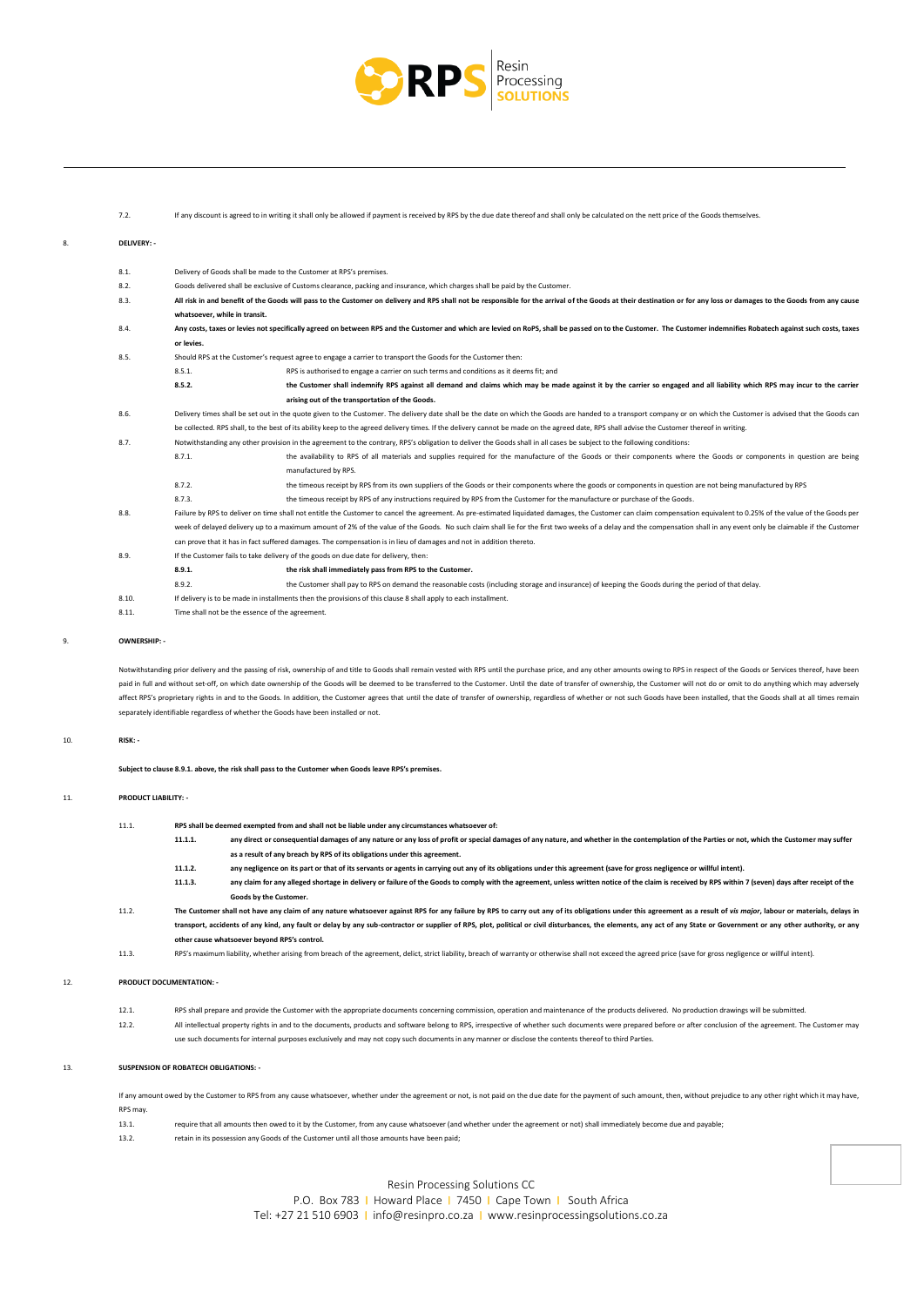

#### 7.2. If any discount is agreed to in writing it shall only be allowed if payment is received by RPS by the due date thereof and shall only be calculated on the nett price of the Goods themselves.

#### 8. **DELIVERY: -**

Ξ

- 8.1. Delivery of Goods shall be made to the Customer at RPS's premises. 8.2. Goods delivered shall be exclusive of Customs clearance, packing and insurance, which charges shall be paid by the Customer.
- 8.3. All risk in and benefit of the Goods will pass to the Customer on delivery and RPS shall not be responsible for the arrival of the Goods at their destination or for any loss or damages to the Goods from any cause **whatsoever, while in transit.**
- 8.4. **Any costs, taxes or levies not specifically agreed on between RPS and the Customer and which are levied on RoPS, shall be passed on to the Customer. The Customer indemnifies Robatech against such costs, taxes or levies.**
- 8.5. Should RPS at the Customer's request agree to engage a carrier to transport the Goods for the Customer the
- 8.5.1. RPS is authorised to engage a carrier on such terms and conditions as it deems fit; and

**8.5.2. the Customer shall indemnify RPS against all demand and claims which may be made against it by the carrier so engaged and all liability which RPS may incur to the carrier arising out of the transportation of the Goods.**

- 8.6. Delivery times shall be set out in the quote given to the Customer. The delivery date shall be the date on which the Goods are handed to a transport company or on which the Customer is advised that the Goods can be collected. RPS shall, to the best of its ability keep to the agreed delivery times. If the delivery cannot be made on the agreed date, RPS shall advise the Customer thereof in writing.
- 8.7. Notwithstanding any other provision in the agreement to the contrary, RPS's obligation to deliver the Goods shall in all cases be subject to the following conditions:
	- 8.7.1. the availability to RPS of all materials and supplies required for the manufacture of the Goods or their components where the Goods or components in question are being manufactured by RPS.
		- 8.7.2. the timeous receipt by RPS from its own suppliers of the Goods or their components where the goods or components in question are not being manufactured by RPS
			- 8.7.3. the timeous receipt by RPS of any instructions required by RPS from the Customer for the manufacture or purchase of the Goods.
- 8.8. Failure by RPS to deliver on time shall not entitle the Customer to cancel the agreement. As pre-estimated liquidated damages, the Customer can claim compensation equivalent to 0.25% of the value of the Goods per week of delayed delivery up to a maximum amount of 2% of the value of the Goods. No such claim shall lie for the first two weeks of a delay and the compensation shall in any event only be claimable if the Customer can prove that it has in fact suffered damages. The compensation is in lieu of damages and not in addition thereto.
- 8.9. If the Customer fails to take delivery of the goods on due date for delivery, then
	- **8.9.1. the risk shall immediately pass from RPS to the Customer.**
	- 8.9.2. the Customer shall pay to RPS on demand the reasonable costs (including storage and insurance) of keeping the Goods during the period of that delay.
- 8.10. If delivery is to be made in installments then the provisions of this clause 8 shall apply to each installment.
- 8.11. Time shall not be the essence of the agreement.

#### 9. **OWNERSHIP: -**

Notwithstanding prior delivery and the passing of risk, ownership of and title to Goods shall remain vested with RPS until the purchase price, and any other amounts owing to RPS in respect of the Goods or Services thereof, paid in full and without set-off, on which date ownership of the Goods will be deemed to be transferred to the Customer. Until the date of transfer of ownership, the Customer will not do or omit to do anything which may ad affect RPS's proprietary rights in and to the Goods. In addition, the Customer agrees that until the date of transfer of ownership, regardless of whether or not such Goods have been installed, that the Goods shall at all t separately identifiable regardless of whether the Goods have been installed or not.

#### 10. **RISK: -**

**Subject to clause 8.9.1. above, the risk shall pass to the Customer when Goods leave RPS's premises.**

#### 11. **PRODUCT LIABILITY: -**

- 11.1. **RPS shall be deemed exempted from and shall not be liable under any circumstances whatsoever of:**
	- **11.1.1. any direct or consequential damages of any nature or any loss of profit or special damages of any nature, and whether in the contemplation of the Parties or not, which the Customer may suffer as a result of any breach by RPS of its obligations under this agreement.**
		- **11.1.2. any negligence on its part or that of its servants or agents in carrying out any of its obligations under this agreement (save for gross negligence or willful intent).**
	- any claim for any alleged shortage in delivery or failure of the Goods to comply with the agreement, unless written notice of the claim is received by RPS within 7 (seven) days after receipt of the **Goods by the Custo**
- 11.2. The Customer shall not have any claim of any nature whatsoever against RPS for any failure by RPS to carry out any of its obligations under this agreement as a result of vis major, labour or materials, delays in transport, accidents of any kind, any fault or delay by any sub-contractor or supplier of RPS, plot, political or civil disturbances, the elements, any act of any State or Government or any other authority, or any **other cause whatsoever beyond RPS's control.**
- 11.3. RPS's maximum liability, whether arising from breach of the agreement, delict, strict liability, breach of warranty or otherwise shall not exceed the agreed price (save for gross negligence or willful intent).

#### 12. **PRODUCT DOCUMENTATION: -**

- 12.1. RPS shall prepare and provide the Customer with the appropriate documents concerning commission, operation and maintenance of the products delivered. No production drawings will be submitted. 12.2. All intellectual property rights in and to the documents, products and software belong to RPS, irrespective of whether such documents were prepared before or after conclusion of the agreement. The Customer may
- use such documents for internal purposes exclusively and may not copy such documents in any manner or disclose the contents thereof to third Parties.

#### 13. **SUSPENSION OF ROBATECH OBLIGATIONS: -**

If any amount owed by the Customer to RPS from any cause whatsoever, whether under the agreement or not, is not paid on the due date for the payment of such amount, then, without prejudice to any other right which it may h RPS may.

- 13.1. require that all amounts then owed to it by the Customer, from any cause whatsoever (and whether under the agreement or not) shall immediately become due and payable;
- 13.2. retain in its possession any Goods of the Customer until all those amounts have been paid;

## Resin Processing Solutions CC

P.O. Box 783 | Howard Place | 7450 | Cape Town | South Africa Tel: +27 21 510 6903 I [info@resinpro.co.za](mailto:info@resinpro.co.za) I [www.resinprocessingsolutions.co.za](http://www.resinprocessingsolutions.co.za/)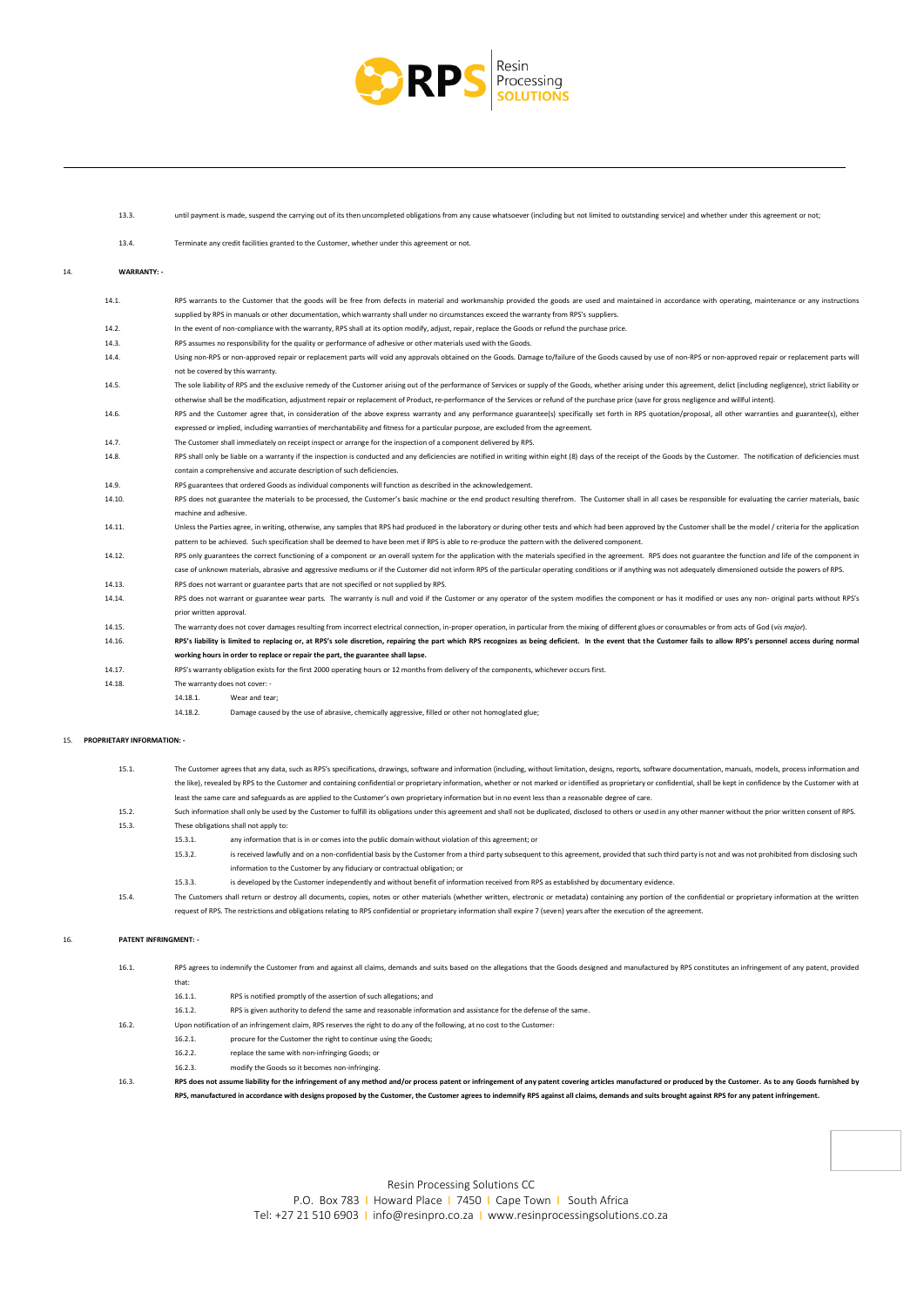

13.3. until payment is made, suspend the carrying out of its then uncompleted obligations from any cause whatsoever (including but not limited to outstanding service) and whether under this agreement or not;

13.4. Terminate any credit facilities granted to the Customer, whether under this agreement or not.

#### 14. **WARRANTY: -**

Ξ

14.1. RPS warrants to the Customer that the goods will be free from defects in material and workmanship provided the goods are used and maintained in accordance with operating, maintenance or any instructions supplied by RPS in manuals or other documentation, which warranty shall under no circumstances exceed the warranty from RPS's suppliers. 14.2. In the event of non-compliance with the warranty, RPS shall at its option modify, adjust, repair, replace the Goods or refund the purchase price. 14.3. RPS assumes no responsibility for the quality or performance of adhesive or other materials used with the Goods. 14.4. Using non-RPS or non-approved repair or replacement parts will void any approvals obtained on the Goods. Damage to/failure of the Goods caused by use of non-RPS or non-approved repair or replacement parts will not be covered by this warranty. The sole liability of RPS and the exclusive remedy of the Customer arising out of the performance of Services or supply of the Goods, whether arising under this agreement, delict (including negligence), strict liability or otherwise shall be the modification, adjustment repair or replacement of Product, re-performance of the Services or refund of the purchase price (save for gross negligence and willful intent). 14.6. RPS and the Customer agree that, in consideration of the above express warranty and any performance guarantee(s) specifically set forth in RPS quotation/proposal, all other warranties and guarantee(s), either expressed or implied, including warranties of merchantability and fitness for a particular purpose, are excluded from the agreement. 14.7. The Customer shall immediately on receipt inspect or arrange for the inspection of a component delivered by RPS. RPS shall only be liable on a warranty if the inspection is conducted and any deficiencies are notified in writing within eight (8) days of the receipt of the Goods by the Customer. The notification of deficiencies must ain a comprehensive and accurate description of such deficiencies 14.9. RPS guarantees that ordered Goods as individual components will function as described in the acknowledgement. 14.10. RPS does not guarantee the materials to be processed, the Customer's basic machine or the end product resulting therefrom. The Customer shall in all cases be responsible for evaluating the carrier materials, basic machine and adhesive. 14.11. Unless the Parties agree, in writing, otherwise, any samples that RPS had produced in the laboratory or during other tests and which had been approved by the Customer shall be the model / criteria for the application pattern to be achieved. Such specification shall be deemed to have been met if RPS is able to re-produce the pattern with the delivered component 14.12. RPS only guarantees the correct functioning of a component or an overall system for the application with the materials specified in the agreement. RPS does not guarantee the function and life of the component in case of unknown materials, abrasive and aggressive mediums or if the Customer did not inform RPS of the particular operating conditions or if anything was not adequately dimensioned outside the powers of RPS. 14.13. RPS does not warrant or guarantee parts that are not specified or not supplied by RPS. 14.14. RPS does not warrant or guarantee wear parts. The warranty is null and void if the Customer or any operator of the system modifies the component or has it modified or uses any non- original parts without RPS's prior written approval. 14.15. The warranty does not cover damages resulting from incorrect electrical connection, in-proper operation, in particular from the mixing of different glues or consumables or from acts of God (*vis major*). 14.16. RPS's liability is limited to replacing or, at RPS's sole discretion, repairing the part which RPS recognizes as being deficient. In the event that the Customer fails to allow RPS's personnel access during normal **working hours in order to replace or repair the part, the guarantee shall lapse.** 14.17. RPS's warranty obligation exists for the first 2000 operating hours or 12 months from delivery of the components, whichever occurs first. 14.18. The warranty does not cover: -

14.18.1. Wear and tear;

14.18.2. Damage caused by the use of abrasive, chemically aggressive, filled or other not homoglated glue;

#### 15. **PROPRIETARY INFORMATION: -**

| 15.1. | The Customer agrees that any data, such as RPS's specifications, drawings, software and information (including, without limitation, designs, reports, software documentation, manuals, models, process information and     |
|-------|----------------------------------------------------------------------------------------------------------------------------------------------------------------------------------------------------------------------------|
|       | the like), revealed by RPS to the Customer and containing confidential or proprietary information, whether or not marked or identified as proprietary or confidential, shall be kept in confidence by the Customer with at |
|       | least the same care and safeguards as are applied to the Customer's own proprietary information but in no event less than a reasonable degree of care.                                                                     |

- 15.2. Such information shall only be used by the Customer to fulfill its obligations under this agreement and shall not be duplicated, disclosed to others or used in any other manner without the prior written consent of RPS. 15.3. These obligations shall not apply to:
	- 15.3.1. any information that is in or comes into the public domain without violation of this agreement; or
		- 15.3.2. is received lawfully and on a non-confidential basis by the Customer from a third party subsequent to this agreement, provided that such third party is not and was not prohibited from disclosing such information to the Customer by any fiduciary or contractual obligation; or
		- 15.3.3. is developed by the Customer independently and without benefit of information received from RPS as established by documentary evidence.
- 15.4. The Customers shall return or destroy all documents, copies, notes or other materials (whether written, electronic or metadata) containing any portion of the confidential or proprietary information at the written request of RPS. The restrictions and obligations relating to RPS confidential or proprietary information shall expire 7 (seven) years after the execution of the agreement.

#### 16. **PATENT INFRINGMENT: -**

|       | RPS, manufactured in accordance with designs proposed by the Customer, the Customer agrees to indemnify RPS against all claims, demands and suits brought against RPS for any patent infringement.               |                                                                                                                  |  |  |  |  |
|-------|------------------------------------------------------------------------------------------------------------------------------------------------------------------------------------------------------------------|------------------------------------------------------------------------------------------------------------------|--|--|--|--|
| 16.3. | RPS does not assume liability for the infringement of any method and/or process patent or infringement of any patent covering articles manufactured or produced by the Customer. As to any Goods furnished by    |                                                                                                                  |  |  |  |  |
|       | 16.2.3.                                                                                                                                                                                                          | modify the Goods so it becomes non-infringing.                                                                   |  |  |  |  |
|       | 16.2.2.                                                                                                                                                                                                          | replace the same with non-infringing Goods; or                                                                   |  |  |  |  |
|       | 16.2.1.                                                                                                                                                                                                          | procure for the Customer the right to continue using the Goods:                                                  |  |  |  |  |
| 16.2. | Upon notification of an infringement claim. RPS reserves the right to do any of the following, at no cost to the Customer:                                                                                       |                                                                                                                  |  |  |  |  |
|       | 16.1.2.                                                                                                                                                                                                          | RPS is given authority to defend the same and reasonable information and assistance for the defense of the same. |  |  |  |  |
|       | 16.1.1.                                                                                                                                                                                                          | RPS is notified promptly of the assertion of such allegations; and                                               |  |  |  |  |
|       | that:                                                                                                                                                                                                            |                                                                                                                  |  |  |  |  |
| 16.1. | RPS agrees to indemnify the Customer from and against all claims, demands and suits based on the allegations that the Goods designed and manufactured by RPS constitutes an infringement of any patent, provided |                                                                                                                  |  |  |  |  |

Resin Processing Solutions CC P.O. Box 783 | Howard Place | 7450 | Cape Town | South Africa Tel: +27 21 510 6903 I [info@resinpro.co.za](mailto:info@resinpro.co.za) I [www.resinprocessingsolutions.co.za](http://www.resinprocessingsolutions.co.za/)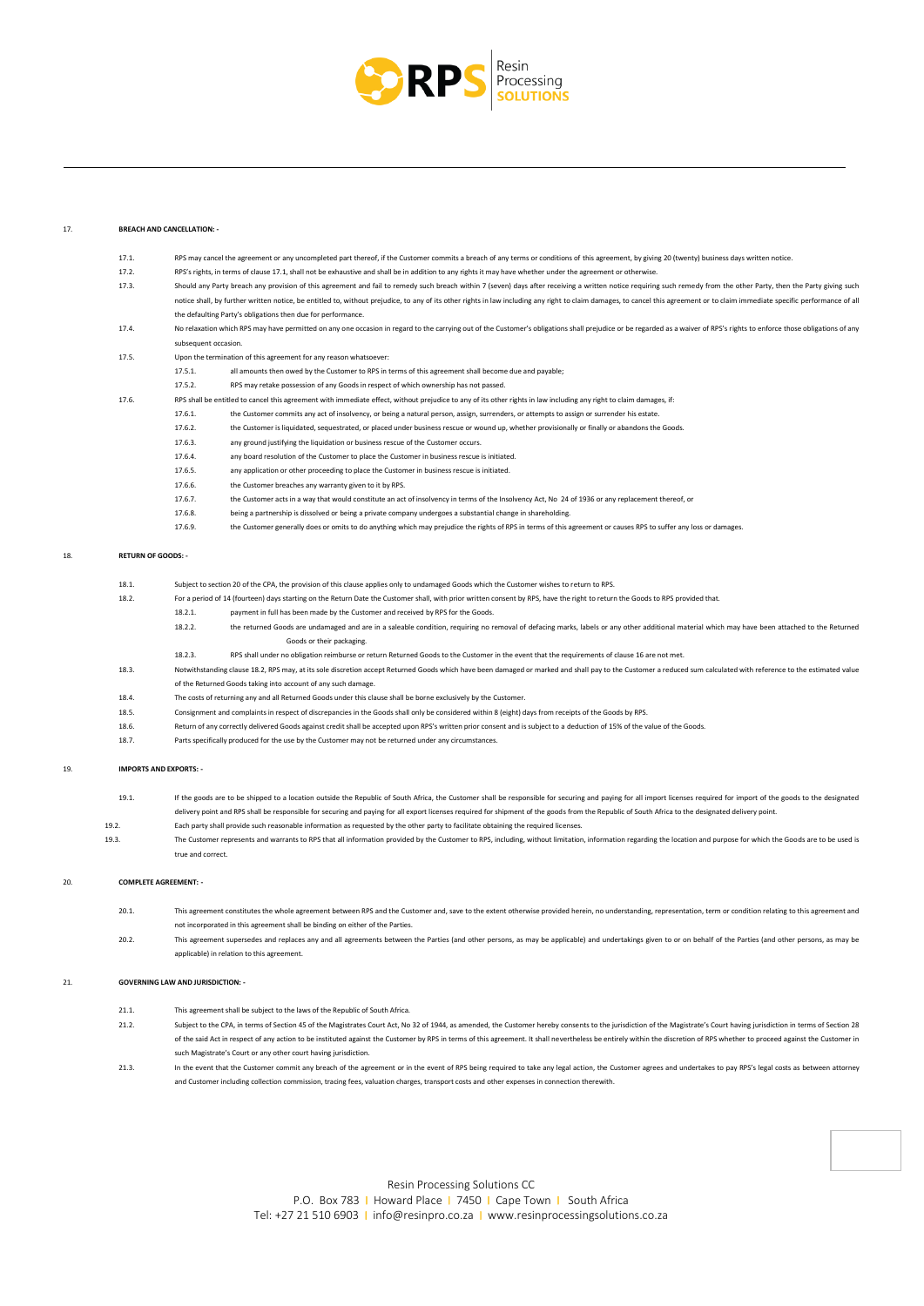

17.1. RPS may cancel the agreement or any uncompleted part thereof, if the Customer commits a breach of any terms or conditions of this agreement, by giving 20 (twenty) business days written notice.

#### 17. **BREACH AND CANCELLATION: -**

Ξ

| 19.   | <b>IMPORTS AND EXPORTS: -</b> |                                                                                                                                                             |                                                                                                                                                                                                                                                                                                                                                                                                                                                        |  |  |  |
|-------|-------------------------------|-------------------------------------------------------------------------------------------------------------------------------------------------------------|--------------------------------------------------------------------------------------------------------------------------------------------------------------------------------------------------------------------------------------------------------------------------------------------------------------------------------------------------------------------------------------------------------------------------------------------------------|--|--|--|
|       | 18.7.                         |                                                                                                                                                             | Parts specifically produced for the use by the Customer may not be returned under any circumstances.                                                                                                                                                                                                                                                                                                                                                   |  |  |  |
|       | 18.6.                         |                                                                                                                                                             | Return of any correctly delivered Goods against credit shall be accepted upon RPS's written prior consent and is subject to a deduction of 15% of the value of the Goods.                                                                                                                                                                                                                                                                              |  |  |  |
|       | 18.5.                         |                                                                                                                                                             | Consignment and complaints in respect of discrepancies in the Goods shall only be considered within 8 (eight) days from receipts of the Goods by RPS.                                                                                                                                                                                                                                                                                                  |  |  |  |
|       | 18.4.                         |                                                                                                                                                             | The costs of returning any and all Returned Goods under this clause shall be borne exclusively by the Customer.                                                                                                                                                                                                                                                                                                                                        |  |  |  |
|       |                               |                                                                                                                                                             | of the Returned Goods taking into account of any such damage.                                                                                                                                                                                                                                                                                                                                                                                          |  |  |  |
|       | 18.3.                         |                                                                                                                                                             | Notwithstanding clause 18.2, RPS may, at its sole discretion accept Returned Goods which have been damaged or marked and shall pay to the Customer a reduced sum calculated with reference to the estimated value                                                                                                                                                                                                                                      |  |  |  |
|       |                               | 18.2.3.                                                                                                                                                     | RPS shall under no obligation reimburse or return Returned Goods to the Customer in the event that the requirements of clause 16 are not met.                                                                                                                                                                                                                                                                                                          |  |  |  |
|       |                               |                                                                                                                                                             | Goods or their packaging.                                                                                                                                                                                                                                                                                                                                                                                                                              |  |  |  |
|       |                               | 18.2.2.                                                                                                                                                     | the returned Goods are undamaged and are in a saleable condition, requiring no removal of defacing marks, labels or any other additional material which may have been attached to the Returned                                                                                                                                                                                                                                                         |  |  |  |
|       |                               | 18.2.1.                                                                                                                                                     | payment in full has been made by the Customer and received by RPS for the Goods.                                                                                                                                                                                                                                                                                                                                                                       |  |  |  |
|       | 18.2.                         |                                                                                                                                                             | For a period of 14 (fourteen) days starting on the Return Date the Customer shall, with prior written consent by RPS, have the right to return the Goods to RPS provided that.                                                                                                                                                                                                                                                                         |  |  |  |
|       | 18.1.                         |                                                                                                                                                             | Subject to section 20 of the CPA, the provision of this clause applies only to undamaged Goods which the Customer wishes to return to RPS.                                                                                                                                                                                                                                                                                                             |  |  |  |
| 18.   | <b>RETURN OF GOODS: -</b>     |                                                                                                                                                             |                                                                                                                                                                                                                                                                                                                                                                                                                                                        |  |  |  |
|       |                               | 17.6.9.                                                                                                                                                     | the Customer generally does or omits to do anything which may prejudice the rights of RPS in terms of this agreement or causes RPS to suffer any loss or damages.                                                                                                                                                                                                                                                                                      |  |  |  |
|       |                               | 17.6.8.                                                                                                                                                     | being a partnership is dissolved or being a private company undergoes a substantial change in shareholding.                                                                                                                                                                                                                                                                                                                                            |  |  |  |
|       |                               | 17.6.7.                                                                                                                                                     | the Customer acts in a way that would constitute an act of insolvency in terms of the Insolvency Act, No 24 of 1936 or any replacement thereof, or                                                                                                                                                                                                                                                                                                     |  |  |  |
|       |                               | 17.6.6.                                                                                                                                                     | the Customer breaches any warranty given to it by RPS.                                                                                                                                                                                                                                                                                                                                                                                                 |  |  |  |
|       |                               | 17.6.5.                                                                                                                                                     | any application or other proceeding to place the Customer in business rescue is initiated.                                                                                                                                                                                                                                                                                                                                                             |  |  |  |
|       |                               | 17.6.4.                                                                                                                                                     | any board resolution of the Customer to place the Customer in business rescue is initiated.                                                                                                                                                                                                                                                                                                                                                            |  |  |  |
|       |                               | 17.6.3.                                                                                                                                                     | any ground justifying the liquidation or business rescue of the Customer occurs.                                                                                                                                                                                                                                                                                                                                                                       |  |  |  |
|       |                               | 17.6.2.                                                                                                                                                     | the Customer is liquidated, sequestrated, or placed under business rescue or wound up, whether provisionally or finally or abandons the Goods.                                                                                                                                                                                                                                                                                                         |  |  |  |
|       |                               | 17.6.1.                                                                                                                                                     | the Customer commits any act of insolvency, or being a natural person, assign, surrenders, or attempts to assign or surrender his estate.                                                                                                                                                                                                                                                                                                              |  |  |  |
| 17.6. |                               |                                                                                                                                                             | RPS shall be entitled to cancel this agreement with immediate effect, without prejudice to any of its other rights in law including any right to claim damages, if:                                                                                                                                                                                                                                                                                    |  |  |  |
|       |                               | 17.5.2.                                                                                                                                                     | RPS may retake possession of any Goods in respect of which ownership has not passed.                                                                                                                                                                                                                                                                                                                                                                   |  |  |  |
|       |                               | 17.5.1.                                                                                                                                                     | all amounts then owed by the Customer to RPS in terms of this agreement shall become due and payable;                                                                                                                                                                                                                                                                                                                                                  |  |  |  |
|       | 17.5.                         |                                                                                                                                                             | Upon the termination of this agreement for any reason whatsoever:                                                                                                                                                                                                                                                                                                                                                                                      |  |  |  |
|       |                               | subsequent occasion.                                                                                                                                        |                                                                                                                                                                                                                                                                                                                                                                                                                                                        |  |  |  |
|       | 17.4.                         |                                                                                                                                                             | No relaxation which RPS may have permitted on any one occasion in regard to the carrying out of the Customer's obligations shall prejudice or be regarded as a waiver of RPS's rights to enforce those obligations of any                                                                                                                                                                                                                              |  |  |  |
|       |                               |                                                                                                                                                             | the defaulting Party's obligations then due for performance.                                                                                                                                                                                                                                                                                                                                                                                           |  |  |  |
|       |                               |                                                                                                                                                             | Should any Party breach any provision of this agreement and fail to remedy such breach within 7 (seven) days after receiving a written notice requiring such remedy from the other Party, then the Party giving such<br>notice shall, by further written notice, be entitled to, without prejudice, to any of its other rights in law including any right to claim damages, to cancel this agreement or to claim immediate specific performance of all |  |  |  |
|       | 17.3.                         |                                                                                                                                                             |                                                                                                                                                                                                                                                                                                                                                                                                                                                        |  |  |  |
|       | 17.2.                         | RPS's rights, in terms of clause 17.1, shall not be exhaustive and shall be in addition to any rights it may have whether under the agreement or otherwise. |                                                                                                                                                                                                                                                                                                                                                                                                                                                        |  |  |  |

19.1. If the goods are to be shipped to a location outside the Republic of South Africa, the Customer shall be responsible for securing and paying for all import licenses required for import of the goods to the designated delivery point and RPS shall be responsible for securing and paying for all export licenses required for shipment of the goods from the Republic of South Africa to the designated delivery point. 19.2. Each party shall provide such reasonable information as requested by the other party to facilitate obtaining the required licenses. 19.3. The Customer represents and warrants to RPS that all information provided by the Customer to RPS, including, without limitation, information regarding the location and purpose for which the Goods are to be used is

# true and correct.

#### 20. **COMPLETE AGREEMENT:**

- 20.1. This agreement constitutes the whole agreement between RPS and the Customer and, save to the extent otherwise provided herein, no understanding, representation, term or condition relating to this agreement and not incorporated in this agreement shall be binding on either of the Parties.
- 20.2. This agreement supersedes and replaces any and all agreements between the Parties (and other persons, as may be applicable) and undertakings given to or on behalf of the Parties (and other persons, as may be applicable) in relation to this agreement.

#### 21. **GOVERNING LAW AND JURISDICTION: -**

- 21.1. This agreement shall be subject to the laws of the Republic of South Africa.
- 21.2. Subject to the CPA, in terms of Section 45 of the Magistrates Court Act, No 32 of 1944, as amended, the Customer hereby consents to the jurisdiction of the Magistrate's Court having jurisdiction in terms of Section 2 of the said Act in respect of any action to be instituted against the Customer by RPS in terms of this agreement. It shall nevertheless be entirely within the discretion of RPS whether to proceed against the Customer in such Magistrate's Court or any other court having jurisdiction.
- 21.3. In the event that the Customer commit any breach of the agreement or in the event of RPS being required to take any legal action, the Customer agrees and undertakes to pay RPS's legal costs as between attorney and Customer including collection commission, tracing fees, valuation charges, transport costs and other expenses in connection therewith.

Resin Processing Solutions CC P.O. Box 783 | Howard Place | 7450 | Cape Town | South Africa Tel: +27 21 510 6903 I [info@resinpro.co.za](mailto:info@resinpro.co.za) I [www.resinprocessingsolutions.co.za](http://www.resinprocessingsolutions.co.za/)